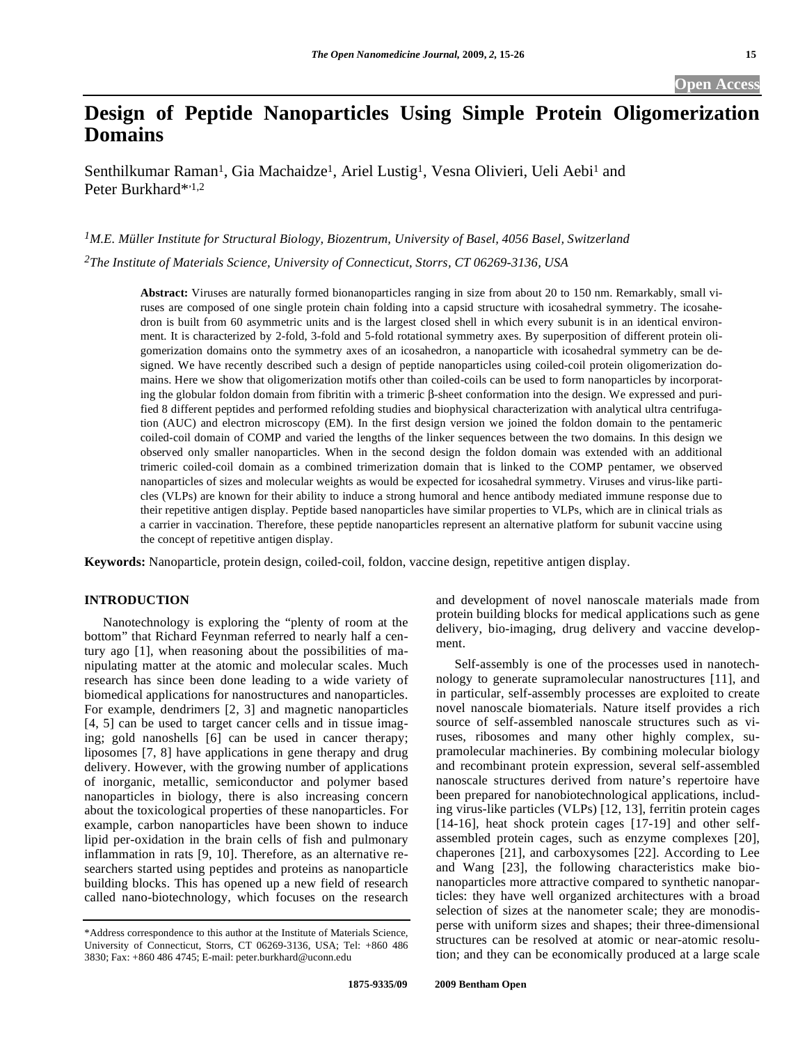# **Design of Peptide Nanoparticles Using Simple Protein Oligomerization Domains**

Senthilkumar Raman<sup>1</sup>, Gia Machaidze<sup>1</sup>, Ariel Lustig<sup>1</sup>, Vesna Olivieri, Ueli Aebi<sup>1</sup> and Peter Burkhard\*<sup>1,2</sup>

*1M.E. Müller Institute for Structural Biology, Biozentrum, University of Basel, 4056 Basel, Switzerland 2The Institute of Materials Science, University of Connecticut, Storrs, CT 06269-3136, USA* 

> **Abstract:** Viruses are naturally formed bionanoparticles ranging in size from about 20 to 150 nm. Remarkably, small viruses are composed of one single protein chain folding into a capsid structure with icosahedral symmetry. The icosahedron is built from 60 asymmetric units and is the largest closed shell in which every subunit is in an identical environment. It is characterized by 2-fold, 3-fold and 5-fold rotational symmetry axes. By superposition of different protein oligomerization domains onto the symmetry axes of an icosahedron, a nanoparticle with icosahedral symmetry can be designed. We have recently described such a design of peptide nanoparticles using coiled-coil protein oligomerization domains. Here we show that oligomerization motifs other than coiled-coils can be used to form nanoparticles by incorporating the globular foldon domain from fibritin with a trimeric  $\beta$ -sheet conformation into the design. We expressed and purified 8 different peptides and performed refolding studies and biophysical characterization with analytical ultra centrifugation (AUC) and electron microscopy (EM). In the first design version we joined the foldon domain to the pentameric coiled-coil domain of COMP and varied the lengths of the linker sequences between the two domains. In this design we observed only smaller nanoparticles. When in the second design the foldon domain was extended with an additional trimeric coiled-coil domain as a combined trimerization domain that is linked to the COMP pentamer, we observed nanoparticles of sizes and molecular weights as would be expected for icosahedral symmetry. Viruses and virus-like particles (VLPs) are known for their ability to induce a strong humoral and hence antibody mediated immune response due to their repetitive antigen display. Peptide based nanoparticles have similar properties to VLPs, which are in clinical trials as a carrier in vaccination. Therefore, these peptide nanoparticles represent an alternative platform for subunit vaccine using the concept of repetitive antigen display.

**Keywords:** Nanoparticle, protein design, coiled-coil, foldon, vaccine design, repetitive antigen display.

# **INTRODUCTION**

 Nanotechnology is exploring the "plenty of room at the bottom" that Richard Feynman referred to nearly half a century ago [1], when reasoning about the possibilities of manipulating matter at the atomic and molecular scales. Much research has since been done leading to a wide variety of biomedical applications for nanostructures and nanoparticles. For example, dendrimers [2, 3] and magnetic nanoparticles [4, 5] can be used to target cancer cells and in tissue imaging; gold nanoshells [6] can be used in cancer therapy; liposomes [7, 8] have applications in gene therapy and drug delivery. However, with the growing number of applications of inorganic, metallic, semiconductor and polymer based nanoparticles in biology, there is also increasing concern about the toxicological properties of these nanoparticles. For example, carbon nanoparticles have been shown to induce lipid per-oxidation in the brain cells of fish and pulmonary inflammation in rats [9, 10]. Therefore, as an alternative researchers started using peptides and proteins as nanoparticle building blocks. This has opened up a new field of research called nano-biotechnology, which focuses on the research

and development of novel nanoscale materials made from protein building blocks for medical applications such as gene delivery, bio-imaging, drug delivery and vaccine development.

 Self-assembly is one of the processes used in nanotechnology to generate supramolecular nanostructures [11], and in particular, self-assembly processes are exploited to create novel nanoscale biomaterials. Nature itself provides a rich source of self-assembled nanoscale structures such as viruses, ribosomes and many other highly complex, supramolecular machineries. By combining molecular biology and recombinant protein expression, several self-assembled nanoscale structures derived from nature's repertoire have been prepared for nanobiotechnological applications, including virus-like particles (VLPs) [12, 13], ferritin protein cages [14-16], heat shock protein cages [17-19] and other selfassembled protein cages, such as enzyme complexes [20], chaperones [21], and carboxysomes [22]. According to Lee and Wang [23], the following characteristics make bionanoparticles more attractive compared to synthetic nanoparticles: they have well organized architectures with a broad selection of sizes at the nanometer scale; they are monodisperse with uniform sizes and shapes; their three-dimensional structures can be resolved at atomic or near-atomic resolution; and they can be economically produced at a large scale

<sup>\*</sup>Address correspondence to this author at the Institute of Materials Science, University of Connecticut, Storrs, CT 06269-3136, USA; Tel: +860 486 3830; Fax: +860 486 4745; E-mail: peter.burkhard@uconn.edu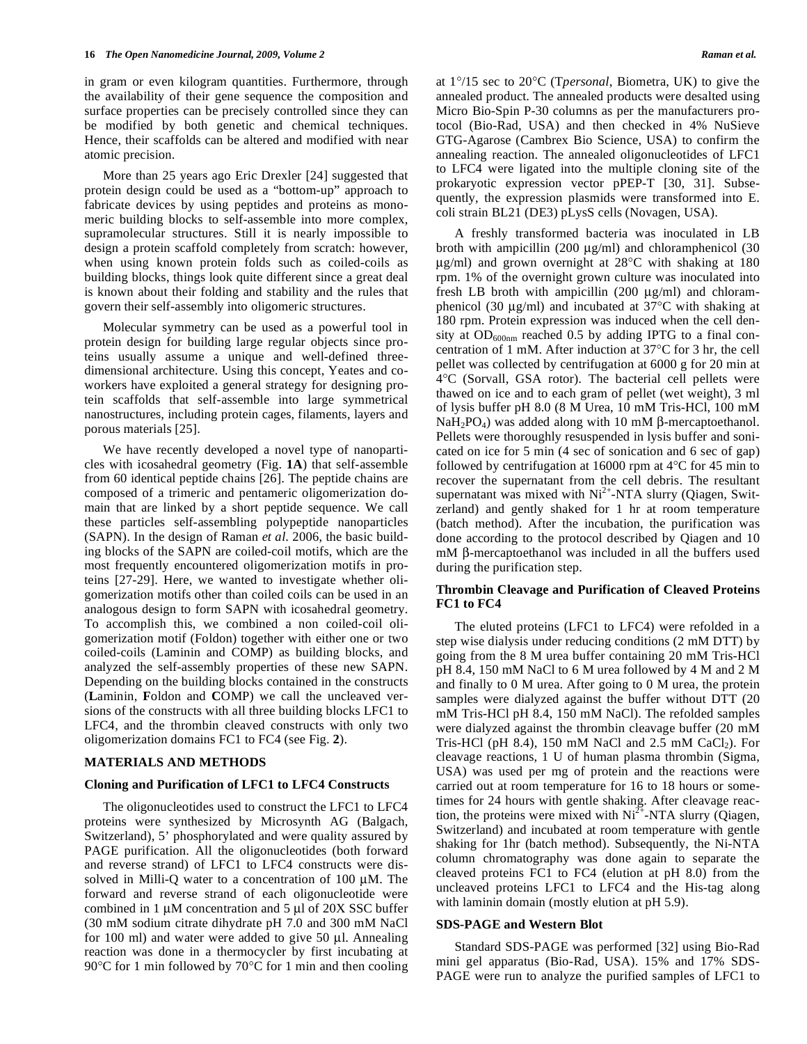in gram or even kilogram quantities. Furthermore, through the availability of their gene sequence the composition and surface properties can be precisely controlled since they can be modified by both genetic and chemical techniques. Hence, their scaffolds can be altered and modified with near atomic precision.

 More than 25 years ago Eric Drexler [24] suggested that protein design could be used as a "bottom-up" approach to fabricate devices by using peptides and proteins as monomeric building blocks to self-assemble into more complex, supramolecular structures. Still it is nearly impossible to design a protein scaffold completely from scratch: however, when using known protein folds such as coiled-coils as building blocks, things look quite different since a great deal is known about their folding and stability and the rules that govern their self-assembly into oligomeric structures.

 Molecular symmetry can be used as a powerful tool in protein design for building large regular objects since proteins usually assume a unique and well-defined threedimensional architecture. Using this concept, Yeates and coworkers have exploited a general strategy for designing protein scaffolds that self-assemble into large symmetrical nanostructures, including protein cages, filaments, layers and porous materials [25].

 We have recently developed a novel type of nanoparticles with icosahedral geometry (Fig. **1A**) that self-assemble from 60 identical peptide chains [26]. The peptide chains are composed of a trimeric and pentameric oligomerization domain that are linked by a short peptide sequence. We call these particles self-assembling polypeptide nanoparticles (SAPN). In the design of Raman *et al*. 2006, the basic building blocks of the SAPN are coiled-coil motifs, which are the most frequently encountered oligomerization motifs in proteins [27-29]. Here, we wanted to investigate whether oligomerization motifs other than coiled coils can be used in an analogous design to form SAPN with icosahedral geometry. To accomplish this, we combined a non coiled-coil oligomerization motif (Foldon) together with either one or two coiled-coils (Laminin and COMP) as building blocks, and analyzed the self-assembly properties of these new SAPN. Depending on the building blocks contained in the constructs (**L**aminin, **F**oldon and **C**OMP) we call the uncleaved versions of the constructs with all three building blocks LFC1 to LFC4, and the thrombin cleaved constructs with only two oligomerization domains FC1 to FC4 (see Fig. **2**).

#### **MATERIALS AND METHODS**

#### **Cloning and Purification of LFC1 to LFC4 Constructs**

 The oligonucleotides used to construct the LFC1 to LFC4 proteins were synthesized by Microsynth AG (Balgach, Switzerland), 5' phosphorylated and were quality assured by PAGE purification. All the oligonucleotides (both forward and reverse strand) of LFC1 to LFC4 constructs were dissolved in Milli-Q water to a concentration of 100 μM. The forward and reverse strand of each oligonucleotide were combined in 1 μM concentration and 5 μl of 20X SSC buffer (30 mM sodium citrate dihydrate pH 7.0 and 300 mM NaCl for 100 ml) and water were added to give 50 μl. Annealing reaction was done in a thermocycler by first incubating at 90°C for 1 min followed by 70°C for 1 min and then cooling at 1°/15 sec to 20°C (T*personal*, Biometra, UK) to give the annealed product. The annealed products were desalted using Micro Bio-Spin P-30 columns as per the manufacturers protocol (Bio-Rad, USA) and then checked in 4% NuSieve GTG-Agarose (Cambrex Bio Science, USA) to confirm the annealing reaction. The annealed oligonucleotides of LFC1 to LFC4 were ligated into the multiple cloning site of the prokaryotic expression vector pPEP-T [30, 31]. Subsequently, the expression plasmids were transformed into E. coli strain BL21 (DE3) pLysS cells (Novagen, USA).

 A freshly transformed bacteria was inoculated in LB broth with ampicillin (200 μg/ml) and chloramphenicol (30 μg/ml) and grown overnight at 28°C with shaking at 180 rpm. 1% of the overnight grown culture was inoculated into fresh LB broth with ampicillin (200 μg/ml) and chloramphenicol (30 μg/ml) and incubated at 37°C with shaking at 180 rpm. Protein expression was induced when the cell density at  $OD_{600nm}$  reached 0.5 by adding IPTG to a final concentration of 1 mM. After induction at 37°C for 3 hr, the cell pellet was collected by centrifugation at 6000 g for 20 min at 4°C (Sorvall, GSA rotor). The bacterial cell pellets were thawed on ice and to each gram of pellet (wet weight), 3 ml of lysis buffer pH 8.0 (8 M Urea, 10 mM Tris-HCl, 100 mM  $NaH<sub>2</sub>PO<sub>4</sub>$ ) was added along with 10 mM  $\beta$ -mercaptoethanol. Pellets were thoroughly resuspended in lysis buffer and sonicated on ice for 5 min (4 sec of sonication and 6 sec of gap) followed by centrifugation at 16000 rpm at  $4^{\circ}$ C for 45 min to recover the supernatant from the cell debris. The resultant supernatant was mixed with  $Ni<sup>2+</sup>-NTA$  slurry (Qiagen, Switzerland) and gently shaked for 1 hr at room temperature (batch method). After the incubation, the purification was done according to the protocol described by Qiagen and 10  $mM$   $\beta$ -mercaptoethanol was included in all the buffers used during the purification step.

# **Thrombin Cleavage and Purification of Cleaved Proteins FC1 to FC4**

 The eluted proteins (LFC1 to LFC4) were refolded in a step wise dialysis under reducing conditions (2 mM DTT) by going from the 8 M urea buffer containing 20 mM Tris-HCl pH 8.4, 150 mM NaCl to 6 M urea followed by 4 M and 2 M and finally to 0 M urea. After going to 0 M urea, the protein samples were dialyzed against the buffer without DTT (20 mM Tris-HCl pH 8.4, 150 mM NaCl). The refolded samples were dialyzed against the thrombin cleavage buffer (20 mM Tris-HCl (pH 8.4), 150 mM NaCl and 2.5 mM CaCl<sub>2</sub>). For cleavage reactions, 1 U of human plasma thrombin (Sigma, USA) was used per mg of protein and the reactions were carried out at room temperature for 16 to 18 hours or sometimes for 24 hours with gentle shaking. After cleavage reaction, the proteins were mixed with  $Ni<sup>2+</sup>-NTA$  slurry (Qiagen, Switzerland) and incubated at room temperature with gentle shaking for 1hr (batch method). Subsequently, the Ni-NTA column chromatography was done again to separate the cleaved proteins FC1 to FC4 (elution at pH 8.0) from the uncleaved proteins LFC1 to LFC4 and the His-tag along with laminin domain (mostly elution at pH 5.9).

#### **SDS-PAGE and Western Blot**

 Standard SDS-PAGE was performed [32] using Bio-Rad mini gel apparatus (Bio-Rad, USA). 15% and 17% SDS-PAGE were run to analyze the purified samples of LFC1 to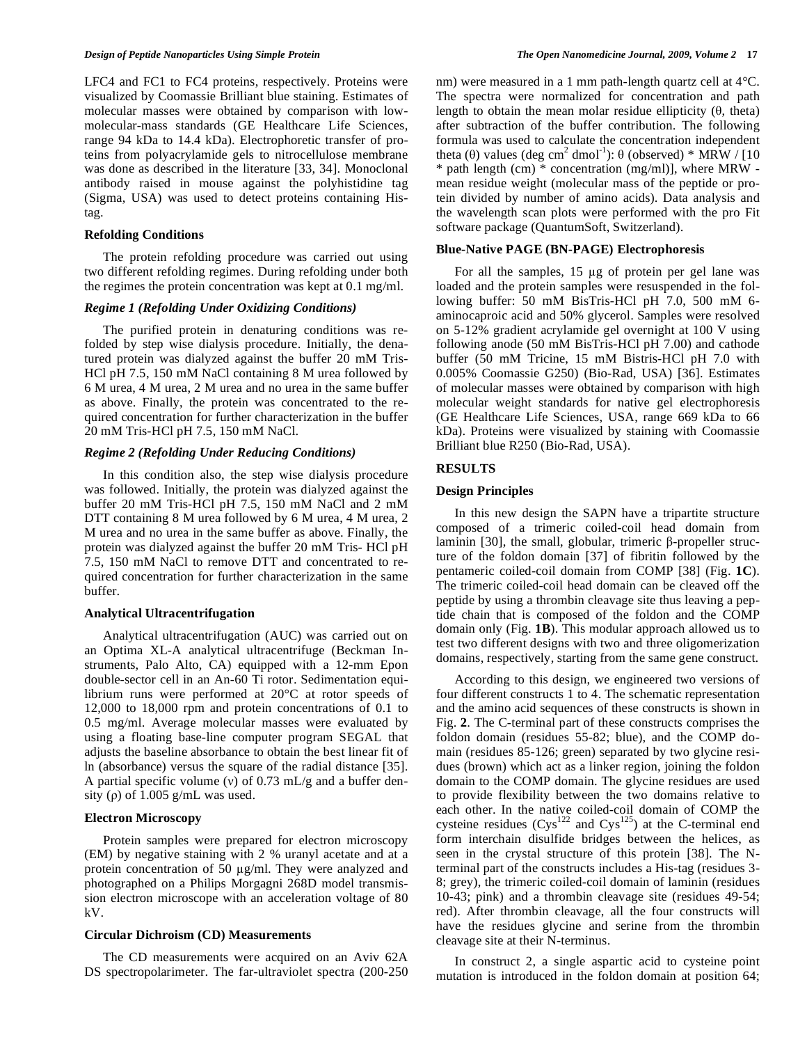LFC4 and FC1 to FC4 proteins, respectively. Proteins were visualized by Coomassie Brilliant blue staining. Estimates of molecular masses were obtained by comparison with lowmolecular-mass standards (GE Healthcare Life Sciences, range 94 kDa to 14.4 kDa). Electrophoretic transfer of proteins from polyacrylamide gels to nitrocellulose membrane was done as described in the literature [33, 34]. Monoclonal antibody raised in mouse against the polyhistidine tag (Sigma, USA) was used to detect proteins containing Histag.

#### **Refolding Conditions**

 The protein refolding procedure was carried out using two different refolding regimes. During refolding under both the regimes the protein concentration was kept at 0.1 mg/ml.

# *Regime 1 (Refolding Under Oxidizing Conditions)*

 The purified protein in denaturing conditions was refolded by step wise dialysis procedure. Initially, the denatured protein was dialyzed against the buffer 20 mM Tris-HCl pH 7.5, 150 mM NaCl containing 8 M urea followed by 6 M urea, 4 M urea, 2 M urea and no urea in the same buffer as above. Finally, the protein was concentrated to the required concentration for further characterization in the buffer 20 mM Tris-HCl pH 7.5, 150 mM NaCl.

#### *Regime 2 (Refolding Under Reducing Conditions)*

 In this condition also, the step wise dialysis procedure was followed. Initially, the protein was dialyzed against the buffer 20 mM Tris-HCl pH 7.5, 150 mM NaCl and 2 mM DTT containing 8 M urea followed by 6 M urea, 4 M urea, 2 M urea and no urea in the same buffer as above. Finally, the protein was dialyzed against the buffer 20 mM Tris- HCl pH 7.5, 150 mM NaCl to remove DTT and concentrated to required concentration for further characterization in the same buffer.

#### **Analytical Ultracentrifugation**

 Analytical ultracentrifugation (AUC) was carried out on an Optima XL-A analytical ultracentrifuge (Beckman Instruments, Palo Alto, CA) equipped with a 12-mm Epon double-sector cell in an An-60 Ti rotor. Sedimentation equilibrium runs were performed at 20°C at rotor speeds of 12,000 to 18,000 rpm and protein concentrations of 0.1 to 0.5 mg/ml. Average molecular masses were evaluated by using a floating base-line computer program SEGAL that adjusts the baseline absorbance to obtain the best linear fit of ln (absorbance) versus the square of the radial distance [35]. A partial specific volume (v) of  $0.73$  mL/g and a buffer density ( $\rho$ ) of 1.005 g/mL was used.

## **Electron Microscopy**

 Protein samples were prepared for electron microscopy (EM) by negative staining with 2 % uranyl acetate and at a protein concentration of 50  $\mu$ g/ml. They were analyzed and photographed on a Philips Morgagni 268D model transmission electron microscope with an acceleration voltage of 80 kV.

# **Circular Dichroism (CD) Measurements**

 The CD measurements were acquired on an Aviv 62A DS spectropolarimeter. The far-ultraviolet spectra (200-250 nm) were measured in a 1 mm path-length quartz cell at 4°C. The spectra were normalized for concentration and path length to obtain the mean molar residue ellipticity  $(\theta)$ , theta) after subtraction of the buffer contribution. The following formula was used to calculate the concentration independent theta ( $\theta$ ) values (deg cm<sup>2</sup> dmol<sup>-1</sup>):  $\theta$  (observed) \* MRW / [10 \* path length (cm) \* concentration (mg/ml)], where MRW mean residue weight (molecular mass of the peptide or protein divided by number of amino acids). Data analysis and the wavelength scan plots were performed with the pro Fit software package (QuantumSoft, Switzerland).

#### **Blue-Native PAGE (BN-PAGE) Electrophoresis**

For all the samples,  $15 \mu g$  of protein per gel lane was loaded and the protein samples were resuspended in the following buffer: 50 mM BisTris-HCl pH 7.0, 500 mM 6 aminocaproic acid and 50% glycerol. Samples were resolved on 5-12% gradient acrylamide gel overnight at 100 V using following anode (50 mM BisTris-HCl pH 7.00) and cathode buffer (50 mM Tricine, 15 mM Bistris-HCl pH 7.0 with 0.005% Coomassie G250) (Bio-Rad, USA) [36]. Estimates of molecular masses were obtained by comparison with high molecular weight standards for native gel electrophoresis (GE Healthcare Life Sciences, USA, range 669 kDa to 66 kDa). Proteins were visualized by staining with Coomassie Brilliant blue R250 (Bio-Rad, USA).

#### **RESULTS**

#### **Design Principles**

 In this new design the SAPN have a tripartite structure composed of a trimeric coiled-coil head domain from laminin [30], the small, globular, trimeric  $\beta$ -propeller structure of the foldon domain [37] of fibritin followed by the pentameric coiled-coil domain from COMP [38] (Fig. **1C**). The trimeric coiled-coil head domain can be cleaved off the peptide by using a thrombin cleavage site thus leaving a peptide chain that is composed of the foldon and the COMP domain only (Fig. **1B**). This modular approach allowed us to test two different designs with two and three oligomerization domains, respectively, starting from the same gene construct.

 According to this design, we engineered two versions of four different constructs 1 to 4. The schematic representation and the amino acid sequences of these constructs is shown in Fig. **2**. The C-terminal part of these constructs comprises the foldon domain (residues 55-82; blue), and the COMP domain (residues 85-126; green) separated by two glycine residues (brown) which act as a linker region, joining the foldon domain to the COMP domain. The glycine residues are used to provide flexibility between the two domains relative to each other. In the native coiled-coil domain of COMP the cysteine residues  $(Cys^{122}$  and  $Cys^{125})$  at the C-terminal end form interchain disulfide bridges between the helices, as seen in the crystal structure of this protein [38]. The Nterminal part of the constructs includes a His-tag (residues 3- 8; grey), the trimeric coiled-coil domain of laminin (residues 10-43; pink) and a thrombin cleavage site (residues 49-54; red). After thrombin cleavage, all the four constructs will have the residues glycine and serine from the thrombin cleavage site at their N-terminus.

 In construct 2, a single aspartic acid to cysteine point mutation is introduced in the foldon domain at position 64;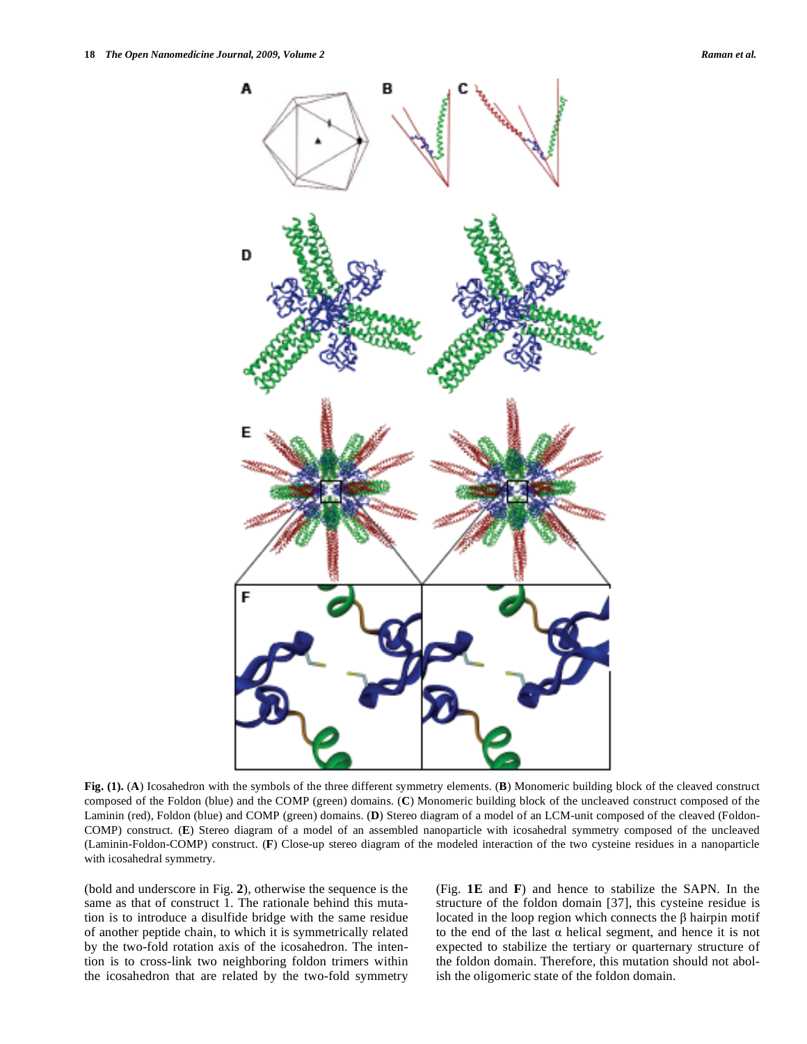

**Fig. (1).** (**A**) Icosahedron with the symbols of the three different symmetry elements. (**B**) Monomeric building block of the cleaved construct composed of the Foldon (blue) and the COMP (green) domains. (**C**) Monomeric building block of the uncleaved construct composed of the Laminin (red), Foldon (blue) and COMP (green) domains. (**D**) Stereo diagram of a model of an LCM-unit composed of the cleaved (Foldon-COMP) construct. (**E**) Stereo diagram of a model of an assembled nanoparticle with icosahedral symmetry composed of the uncleaved (Laminin-Foldon-COMP) construct. (**F**) Close-up stereo diagram of the modeled interaction of the two cysteine residues in a nanoparticle with icosahedral symmetry.

(bold and underscore in Fig. **2**), otherwise the sequence is the same as that of construct 1. The rationale behind this mutation is to introduce a disulfide bridge with the same residue of another peptide chain, to which it is symmetrically related by the two-fold rotation axis of the icosahedron. The intention is to cross-link two neighboring foldon trimers within the icosahedron that are related by the two-fold symmetry (Fig. **1E** and **F**) and hence to stabilize the SAPN. In the structure of the foldon domain [37], this cysteine residue is located in the loop region which connects the  $\beta$  hairpin motif to the end of the last  $\alpha$  helical segment, and hence it is not expected to stabilize the tertiary or quarternary structure of the foldon domain. Therefore, this mutation should not abolish the oligomeric state of the foldon domain.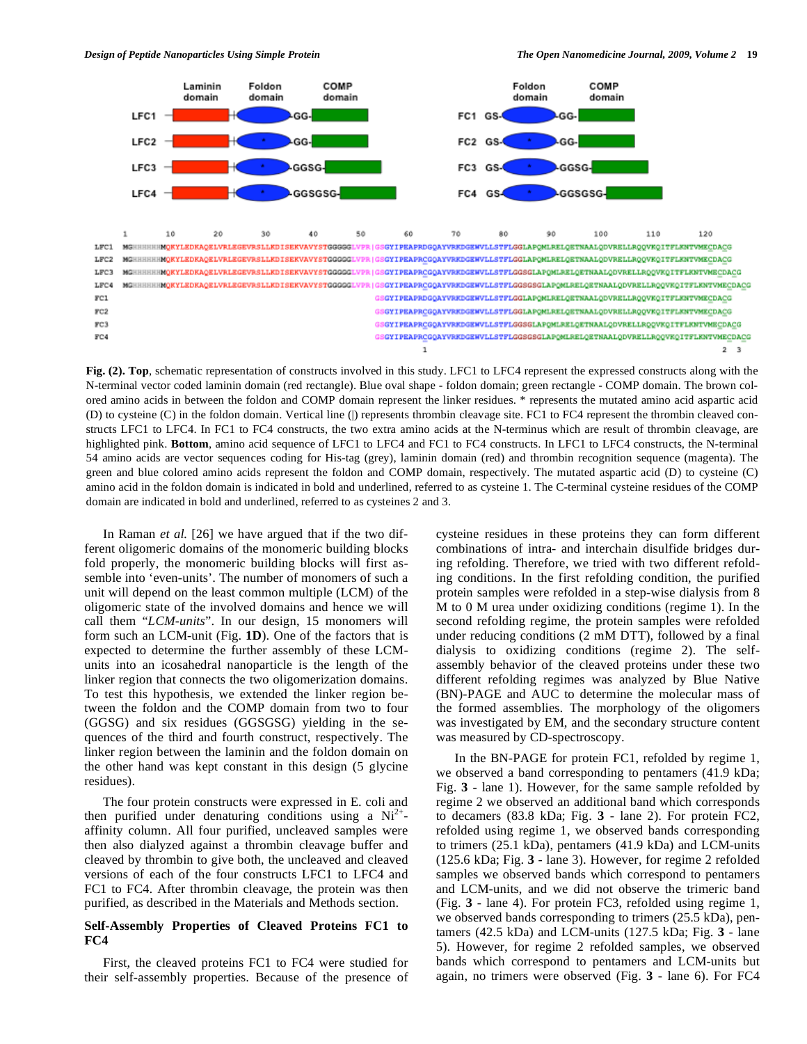



**Fig. (2). Top**, schematic representation of constructs involved in this study. LFC1 to LFC4 represent the expressed constructs along with the N-terminal vector coded laminin domain (red rectangle). Blue oval shape - foldon domain; green rectangle - COMP domain. The brown colored amino acids in between the foldon and COMP domain represent the linker residues. \* represents the mutated amino acid aspartic acid (D) to cysteine (C) in the foldon domain. Vertical line (|) represents thrombin cleavage site. FC1 to FC4 represent the thrombin cleaved constructs LFC1 to LFC4. In FC1 to FC4 constructs, the two extra amino acids at the N-terminus which are result of thrombin cleavage, are highlighted pink. **Bottom**, amino acid sequence of LFC1 to LFC4 and FC1 to FC4 constructs. In LFC1 to LFC4 constructs, the N-terminal 54 amino acids are vector sequences coding for His-tag (grey), laminin domain (red) and thrombin recognition sequence (magenta). The green and blue colored amino acids represent the foldon and COMP domain, respectively. The mutated aspartic acid (D) to cysteine (C) amino acid in the foldon domain is indicated in bold and underlined, referred to as cysteine 1. The C-terminal cysteine residues of the COMP domain are indicated in bold and underlined, referred to as cysteines 2 and 3.

 In Raman *et al.* [26] we have argued that if the two different oligomeric domains of the monomeric building blocks fold properly, the monomeric building blocks will first assemble into 'even-units'. The number of monomers of such a unit will depend on the least common multiple (LCM) of the oligomeric state of the involved domains and hence we will call them "*LCM-units*". In our design, 15 monomers will form such an LCM-unit (Fig. **1D**). One of the factors that is expected to determine the further assembly of these LCMunits into an icosahedral nanoparticle is the length of the linker region that connects the two oligomerization domains. To test this hypothesis, we extended the linker region between the foldon and the COMP domain from two to four (GGSG) and six residues (GGSGSG) yielding in the sequences of the third and fourth construct, respectively. The linker region between the laminin and the foldon domain on the other hand was kept constant in this design (5 glycine residues).

 The four protein constructs were expressed in E. coli and then purified under denaturing conditions using a  $Ni<sup>2+</sup>$ affinity column. All four purified, uncleaved samples were then also dialyzed against a thrombin cleavage buffer and cleaved by thrombin to give both, the uncleaved and cleaved versions of each of the four constructs LFC1 to LFC4 and FC1 to FC4. After thrombin cleavage, the protein was then purified, as described in the Materials and Methods section.

# **Self-Assembly Properties of Cleaved Proteins FC1 to FC4**

 First, the cleaved proteins FC1 to FC4 were studied for their self-assembly properties. Because of the presence of cysteine residues in these proteins they can form different combinations of intra- and interchain disulfide bridges during refolding. Therefore, we tried with two different refolding conditions. In the first refolding condition, the purified protein samples were refolded in a step-wise dialysis from 8 M to 0 M urea under oxidizing conditions (regime 1). In the second refolding regime, the protein samples were refolded under reducing conditions (2 mM DTT), followed by a final dialysis to oxidizing conditions (regime 2). The selfassembly behavior of the cleaved proteins under these two different refolding regimes was analyzed by Blue Native (BN)-PAGE and AUC to determine the molecular mass of the formed assemblies. The morphology of the oligomers was investigated by EM, and the secondary structure content was measured by CD-spectroscopy.

 In the BN-PAGE for protein FC1, refolded by regime 1, we observed a band corresponding to pentamers (41.9 kDa; Fig. **3** - lane 1). However, for the same sample refolded by regime 2 we observed an additional band which corresponds to decamers (83.8 kDa; Fig. **3** - lane 2). For protein FC2, refolded using regime 1, we observed bands corresponding to trimers (25.1 kDa), pentamers (41.9 kDa) and LCM-units (125.6 kDa; Fig. **3** - lane 3). However, for regime 2 refolded samples we observed bands which correspond to pentamers and LCM-units, and we did not observe the trimeric band (Fig. **3** - lane 4). For protein FC3, refolded using regime 1, we observed bands corresponding to trimers (25.5 kDa), pentamers (42.5 kDa) and LCM-units (127.5 kDa; Fig. **3** - lane 5). However, for regime 2 refolded samples, we observed bands which correspond to pentamers and LCM-units but again, no trimers were observed (Fig. **3** - lane 6). For FC4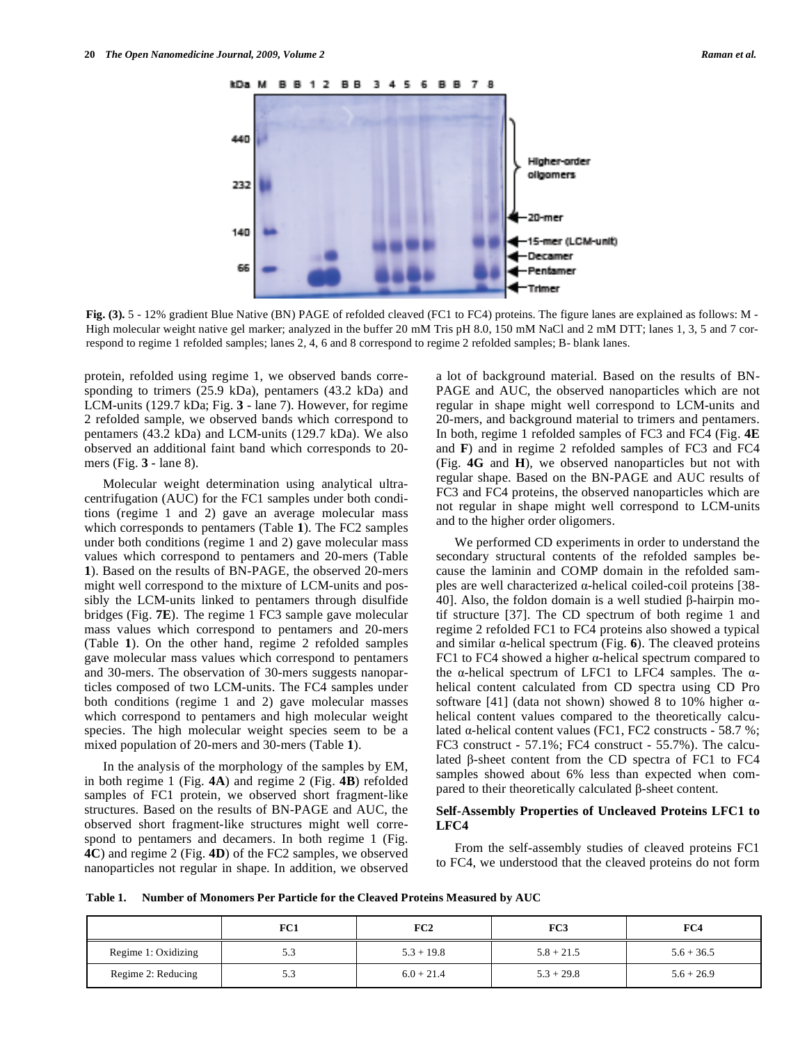

**Fig. (3).** 5 - 12% gradient Blue Native (BN) PAGE of refolded cleaved (FC1 to FC4) proteins. The figure lanes are explained as follows: M - High molecular weight native gel marker; analyzed in the buffer 20 mM Tris pH 8.0, 150 mM NaCl and 2 mM DTT; lanes 1, 3, 5 and 7 correspond to regime 1 refolded samples; lanes 2, 4, 6 and 8 correspond to regime 2 refolded samples; B- blank lanes.

protein, refolded using regime 1, we observed bands corresponding to trimers (25.9 kDa), pentamers (43.2 kDa) and LCM-units (129.7 kDa; Fig. **3** - lane 7). However, for regime 2 refolded sample, we observed bands which correspond to pentamers (43.2 kDa) and LCM-units (129.7 kDa). We also observed an additional faint band which corresponds to 20 mers (Fig. **3** - lane 8).

 Molecular weight determination using analytical ultracentrifugation (AUC) for the FC1 samples under both conditions (regime 1 and 2) gave an average molecular mass which corresponds to pentamers (Table **1**). The FC2 samples under both conditions (regime 1 and 2) gave molecular mass values which correspond to pentamers and 20-mers (Table **1**). Based on the results of BN-PAGE, the observed 20-mers might well correspond to the mixture of LCM-units and possibly the LCM-units linked to pentamers through disulfide bridges (Fig. **7E**). The regime 1 FC3 sample gave molecular mass values which correspond to pentamers and 20-mers (Table **1**). On the other hand, regime 2 refolded samples gave molecular mass values which correspond to pentamers and 30-mers. The observation of 30-mers suggests nanoparticles composed of two LCM-units. The FC4 samples under both conditions (regime 1 and 2) gave molecular masses which correspond to pentamers and high molecular weight species. The high molecular weight species seem to be a mixed population of 20-mers and 30-mers (Table **1**).

 In the analysis of the morphology of the samples by EM, in both regime 1 (Fig. **4A**) and regime 2 (Fig. **4B**) refolded samples of FC1 protein, we observed short fragment-like structures. Based on the results of BN-PAGE and AUC, the observed short fragment-like structures might well correspond to pentamers and decamers. In both regime 1 (Fig. **4C**) and regime 2 (Fig. **4D**) of the FC2 samples, we observed nanoparticles not regular in shape. In addition, we observed a lot of background material. Based on the results of BN-PAGE and AUC, the observed nanoparticles which are not regular in shape might well correspond to LCM-units and 20-mers, and background material to trimers and pentamers. In both, regime 1 refolded samples of FC3 and FC4 (Fig. **4E** and **F**) and in regime 2 refolded samples of FC3 and FC4 (Fig. **4G** and **H**), we observed nanoparticles but not with regular shape. Based on the BN-PAGE and AUC results of FC3 and FC4 proteins, the observed nanoparticles which are not regular in shape might well correspond to LCM-units and to the higher order oligomers.

 We performed CD experiments in order to understand the secondary structural contents of the refolded samples because the laminin and COMP domain in the refolded samples are well characterized  $\alpha$ -helical coiled-coil proteins [38-40]. Also, the foldon domain is a well studied  $\beta$ -hairpin motif structure [37]. The CD spectrum of both regime 1 and regime 2 refolded FC1 to FC4 proteins also showed a typical and similar  $\alpha$ -helical spectrum (Fig. 6). The cleaved proteins FC1 to FC4 showed a higher  $\alpha$ -helical spectrum compared to the  $\alpha$ -helical spectrum of LFC1 to LFC4 samples. The  $\alpha$ helical content calculated from CD spectra using CD Pro software [41] (data not shown) showed 8 to 10% higher  $\alpha$ helical content values compared to the theoretically calculated  $\alpha$ -helical content values (FC1, FC2 constructs - 58.7 %; FC3 construct - 57.1%; FC4 construct - 55.7%). The calculated  $\beta$ -sheet content from the CD spectra of FC1 to FC4 samples showed about 6% less than expected when compared to their theoretically calculated  $\beta$ -sheet content.

### **Self-Assembly Properties of Uncleaved Proteins LFC1 to LFC4**

 From the self-assembly studies of cleaved proteins FC1 to FC4, we understood that the cleaved proteins do not form

**Table 1. Number of Monomers Per Particle for the Cleaved Proteins Measured by AUC** 

|                     | FC1 | FC2          | FC3          | FC4          |
|---------------------|-----|--------------|--------------|--------------|
| Regime 1: Oxidizing | 5.3 | $5.3 + 19.8$ | $5.8 + 21.5$ | $5.6 + 36.5$ |
| Regime 2: Reducing  | 5.3 | $6.0 + 21.4$ | $5.3 + 29.8$ | $5.6 + 26.9$ |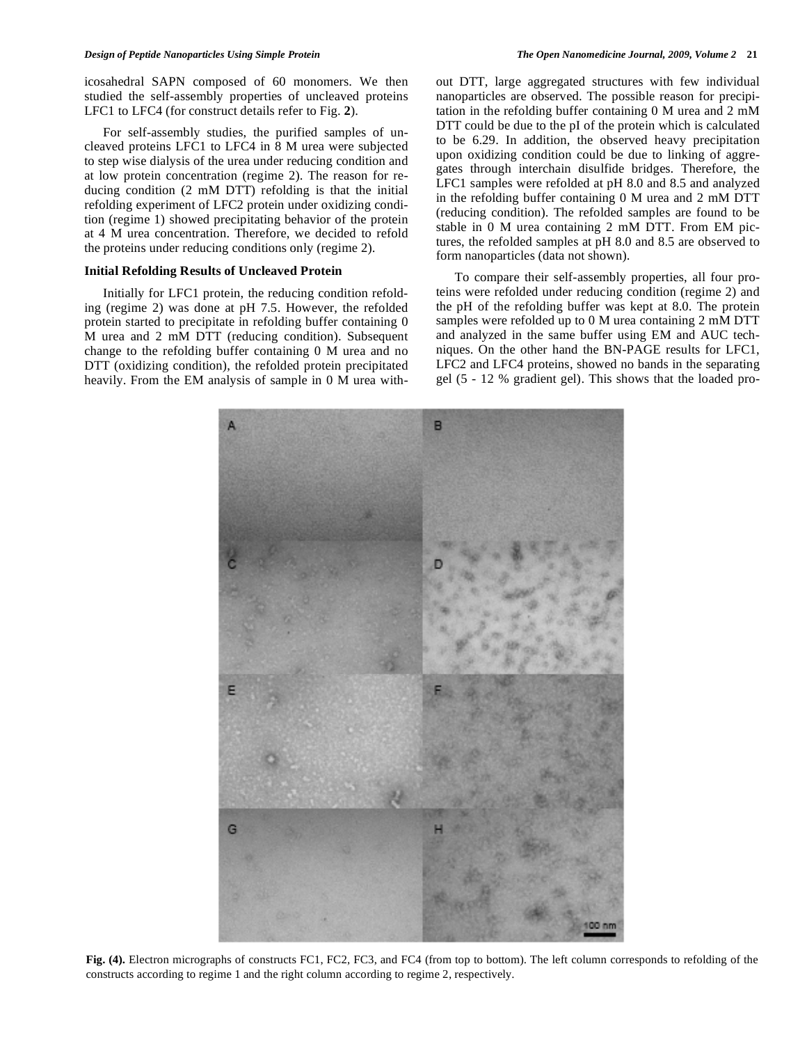icosahedral SAPN composed of 60 monomers. We then studied the self-assembly properties of uncleaved proteins LFC1 to LFC4 (for construct details refer to Fig. **2**).

 For self-assembly studies, the purified samples of uncleaved proteins LFC1 to LFC4 in 8 M urea were subjected to step wise dialysis of the urea under reducing condition and at low protein concentration (regime 2). The reason for reducing condition (2 mM DTT) refolding is that the initial refolding experiment of LFC2 protein under oxidizing condition (regime 1) showed precipitating behavior of the protein at 4 M urea concentration. Therefore, we decided to refold the proteins under reducing conditions only (regime 2).

### **Initial Refolding Results of Uncleaved Protein**

 Initially for LFC1 protein, the reducing condition refolding (regime 2) was done at pH 7.5. However, the refolded protein started to precipitate in refolding buffer containing 0 M urea and 2 mM DTT (reducing condition). Subsequent change to the refolding buffer containing 0 M urea and no DTT (oxidizing condition), the refolded protein precipitated heavily. From the EM analysis of sample in 0 M urea without DTT, large aggregated structures with few individual nanoparticles are observed. The possible reason for precipitation in the refolding buffer containing 0 M urea and 2 mM DTT could be due to the pI of the protein which is calculated to be 6.29. In addition, the observed heavy precipitation upon oxidizing condition could be due to linking of aggregates through interchain disulfide bridges. Therefore, the LFC1 samples were refolded at pH 8.0 and 8.5 and analyzed in the refolding buffer containing 0 M urea and 2 mM DTT (reducing condition). The refolded samples are found to be stable in 0 M urea containing 2 mM DTT. From EM pictures, the refolded samples at pH 8.0 and 8.5 are observed to form nanoparticles (data not shown).

 To compare their self-assembly properties, all four proteins were refolded under reducing condition (regime 2) and the pH of the refolding buffer was kept at 8.0. The protein samples were refolded up to 0 M urea containing 2 mM DTT and analyzed in the same buffer using EM and AUC techniques. On the other hand the BN-PAGE results for LFC1, LFC2 and LFC4 proteins, showed no bands in the separating gel (5 - 12 % gradient gel). This shows that the loaded pro-



**Fig. (4).** Electron micrographs of constructs FC1, FC2, FC3, and FC4 (from top to bottom). The left column corresponds to refolding of the constructs according to regime 1 and the right column according to regime 2, respectively.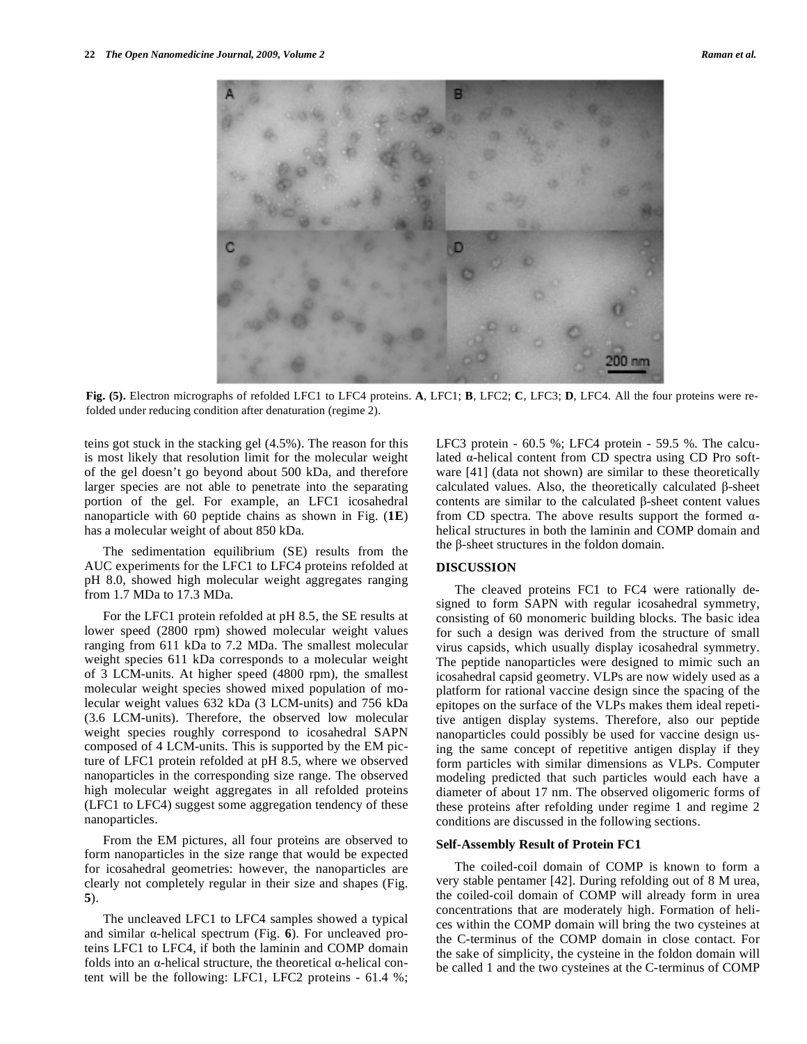

**Fig. (5).** Electron micrographs of refolded LFC1 to LFC4 proteins. **A**, LFC1; **B**, LFC2; **C**, LFC3; **D**, LFC4. All the four proteins were refolded under reducing condition after denaturation (regime 2).

teins got stuck in the stacking gel (4.5%). The reason for this is most likely that resolution limit for the molecular weight of the gel doesn't go beyond about 500 kDa, and therefore larger species are not able to penetrate into the separating portion of the gel. For example, an LFC1 icosahedral nanoparticle with 60 peptide chains as shown in Fig. (**1E**) has a molecular weight of about 850 kDa.

 The sedimentation equilibrium (SE) results from the AUC experiments for the LFC1 to LFC4 proteins refolded at pH 8.0, showed high molecular weight aggregates ranging from 1.7 MDa to 17.3 MDa.

 For the LFC1 protein refolded at pH 8.5, the SE results at lower speed (2800 rpm) showed molecular weight values ranging from 611 kDa to 7.2 MDa. The smallest molecular weight species 611 kDa corresponds to a molecular weight of 3 LCM-units. At higher speed (4800 rpm), the smallest molecular weight species showed mixed population of molecular weight values 632 kDa (3 LCM-units) and 756 kDa (3.6 LCM-units). Therefore, the observed low molecular weight species roughly correspond to icosahedral SAPN composed of 4 LCM-units. This is supported by the EM picture of LFC1 protein refolded at pH 8.5, where we observed nanoparticles in the corresponding size range. The observed high molecular weight aggregates in all refolded proteins (LFC1 to LFC4) suggest some aggregation tendency of these nanoparticles.

 From the EM pictures, all four proteins are observed to form nanoparticles in the size range that would be expected for icosahedral geometries: however, the nanoparticles are clearly not completely regular in their size and shapes (Fig. **5**).

 The uncleaved LFC1 to LFC4 samples showed a typical and similar  $\alpha$ -helical spectrum (Fig. 6). For uncleaved proteins LFC1 to LFC4, if both the laminin and COMP domain folds into an  $\alpha$ -helical structure, the theoretical  $\alpha$ -helical content will be the following: LFC1, LFC2 proteins - 61.4 %; LFC3 protein - 60.5 %; LFC4 protein - 59.5 %. The calculated  $\alpha$ -helical content from CD spectra using CD Pro software [41] (data not shown) are similar to these theoretically calculated values. Also, the theoretically calculated  $\beta$ -sheet contents are similar to the calculated  $\beta$ -sheet content values from CD spectra. The above results support the formed  $\alpha$ helical structures in both the laminin and COMP domain and the  $\beta$ -sheet structures in the foldon domain.

#### **DISCUSSION**

 The cleaved proteins FC1 to FC4 were rationally designed to form SAPN with regular icosahedral symmetry, consisting of 60 monomeric building blocks. The basic idea for such a design was derived from the structure of small virus capsids, which usually display icosahedral symmetry. The peptide nanoparticles were designed to mimic such an icosahedral capsid geometry. VLPs are now widely used as a platform for rational vaccine design since the spacing of the epitopes on the surface of the VLPs makes them ideal repetitive antigen display systems. Therefore, also our peptide nanoparticles could possibly be used for vaccine design using the same concept of repetitive antigen display if they form particles with similar dimensions as VLPs. Computer modeling predicted that such particles would each have a diameter of about 17 nm. The observed oligomeric forms of these proteins after refolding under regime 1 and regime 2 conditions are discussed in the following sections.

#### **Self-Assembly Result of Protein FC1**

 The coiled-coil domain of COMP is known to form a very stable pentamer [42]. During refolding out of 8 M urea, the coiled-coil domain of COMP will already form in urea concentrations that are moderately high. Formation of helices within the COMP domain will bring the two cysteines at the C-terminus of the COMP domain in close contact. For the sake of simplicity, the cysteine in the foldon domain will be called 1 and the two cysteines at the C-terminus of COMP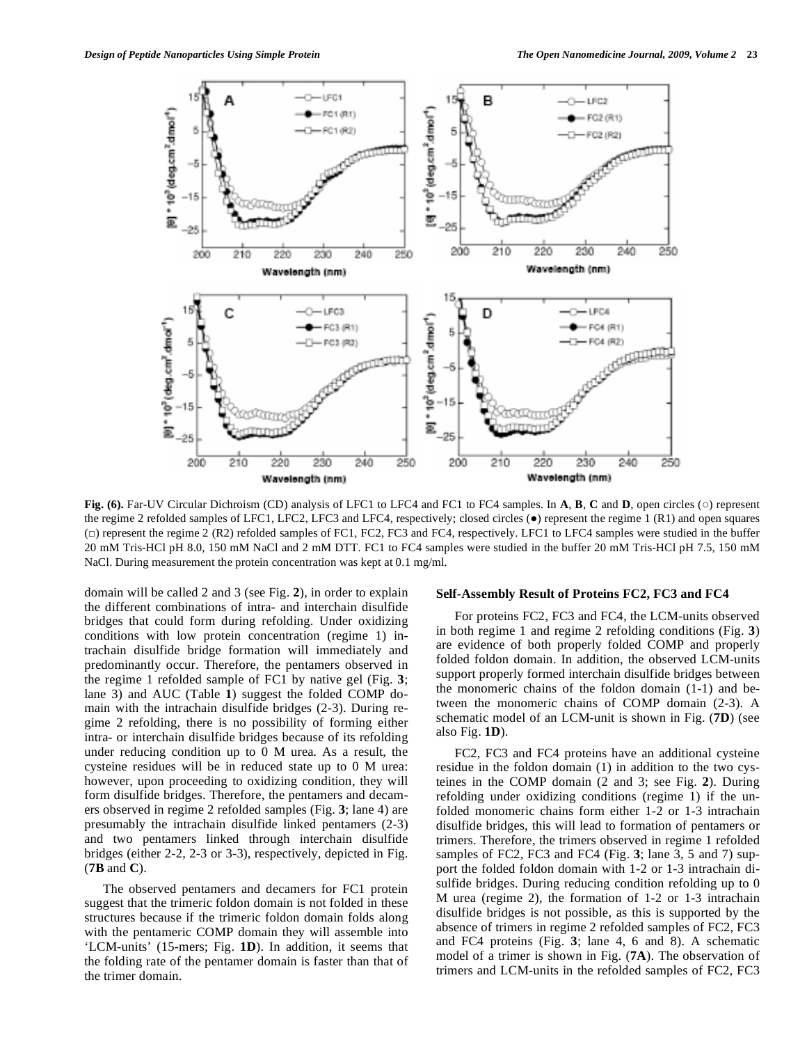

**Fig. (6).** Far-UV Circular Dichroism (CD) analysis of LFC1 to LFC4 and FC1 to FC4 samples. In **A**, **B**, **C** and **D**, open circles ( $\circ$ ) represent the regime 2 refolded samples of LFC1, LFC2, LFC3 and LFC4, respectively; closed circles  $(\bullet)$  represent the regime 1 (R1) and open squares ( $\Box$ ) represent the regime 2 (R2) refolded samples of FC1, FC2, FC3 and FC4, respectively. LFC1 to LFC4 samples were studied in the buffer 20 mM Tris-HCl pH 8.0, 150 mM NaCl and 2 mM DTT. FC1 to FC4 samples were studied in the buffer 20 mM Tris-HCl pH 7.5, 150 mM NaCl. During measurement the protein concentration was kept at 0.1 mg/ml.

domain will be called 2 and 3 (see Fig. **2**), in order to explain the different combinations of intra- and interchain disulfide bridges that could form during refolding. Under oxidizing conditions with low protein concentration (regime 1) intrachain disulfide bridge formation will immediately and predominantly occur. Therefore, the pentamers observed in the regime 1 refolded sample of FC1 by native gel (Fig. **3**; lane 3) and AUC (Table **1**) suggest the folded COMP domain with the intrachain disulfide bridges (2-3). During regime 2 refolding, there is no possibility of forming either intra- or interchain disulfide bridges because of its refolding under reducing condition up to 0 M urea. As a result, the cysteine residues will be in reduced state up to 0 M urea: however, upon proceeding to oxidizing condition, they will form disulfide bridges. Therefore, the pentamers and decamers observed in regime 2 refolded samples (Fig. **3**; lane 4) are presumably the intrachain disulfide linked pentamers (2-3) and two pentamers linked through interchain disulfide bridges (either 2-2, 2-3 or 3-3), respectively, depicted in Fig. (**7B** and **C**).

 The observed pentamers and decamers for FC1 protein suggest that the trimeric foldon domain is not folded in these structures because if the trimeric foldon domain folds along with the pentameric COMP domain they will assemble into 'LCM-units' (15-mers; Fig. **1D**). In addition, it seems that the folding rate of the pentamer domain is faster than that of the trimer domain.

# **Self-Assembly Result of Proteins FC2, FC3 and FC4**

 For proteins FC2, FC3 and FC4, the LCM-units observed in both regime 1 and regime 2 refolding conditions (Fig. **3**) are evidence of both properly folded COMP and properly folded foldon domain. In addition, the observed LCM-units support properly formed interchain disulfide bridges between the monomeric chains of the foldon domain (1-1) and between the monomeric chains of COMP domain (2-3). A schematic model of an LCM-unit is shown in Fig. (**7D**) (see also Fig. **1D**).

 FC2, FC3 and FC4 proteins have an additional cysteine residue in the foldon domain (1) in addition to the two cysteines in the COMP domain (2 and 3; see Fig. **2**). During refolding under oxidizing conditions (regime 1) if the unfolded monomeric chains form either 1-2 or 1-3 intrachain disulfide bridges, this will lead to formation of pentamers or trimers. Therefore, the trimers observed in regime 1 refolded samples of FC2, FC3 and FC4 (Fig. **3**; lane 3, 5 and 7) support the folded foldon domain with 1-2 or 1-3 intrachain disulfide bridges. During reducing condition refolding up to 0 M urea (regime 2), the formation of 1-2 or 1-3 intrachain disulfide bridges is not possible, as this is supported by the absence of trimers in regime 2 refolded samples of FC2, FC3 and FC4 proteins (Fig. **3**; lane 4, 6 and 8). A schematic model of a trimer is shown in Fig. (**7A**). The observation of trimers and LCM-units in the refolded samples of FC2, FC3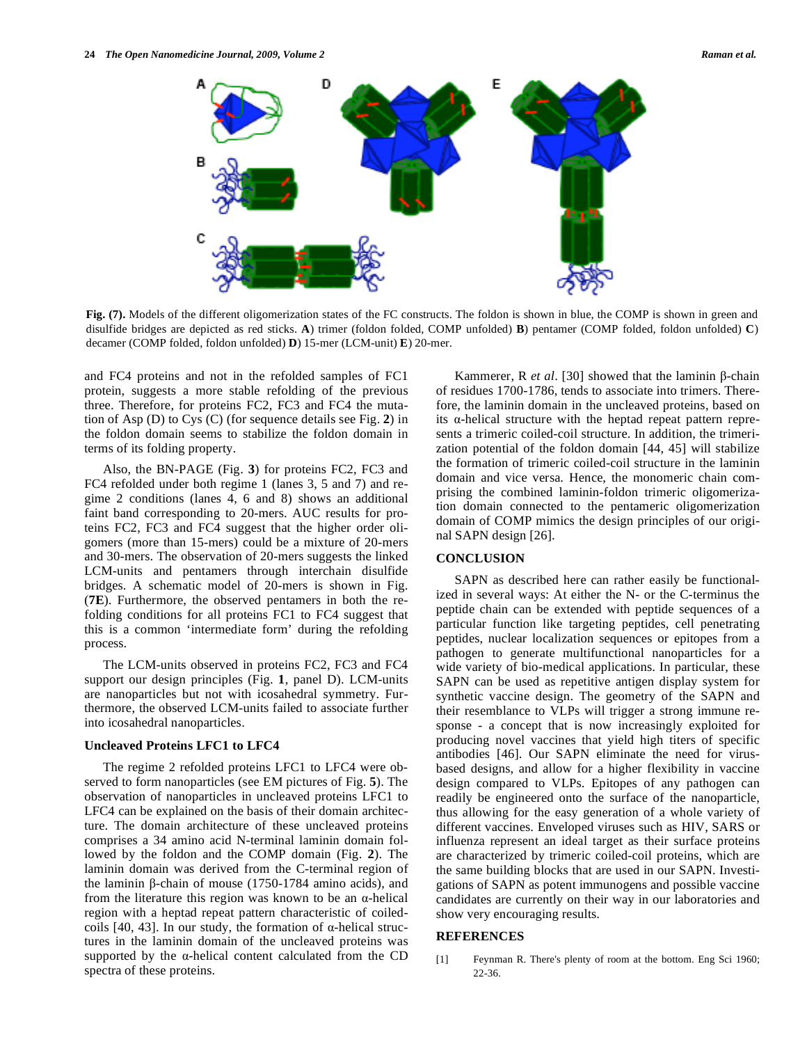

**Fig. (7).** Models of the different oligomerization states of the FC constructs. The foldon is shown in blue, the COMP is shown in green and disulfide bridges are depicted as red sticks. **A**) trimer (foldon folded, COMP unfolded) **B**) pentamer (COMP folded, foldon unfolded) **C**) decamer (COMP folded, foldon unfolded) **D**) 15-mer (LCM-unit) **E**) 20-mer.

and FC4 proteins and not in the refolded samples of FC1 protein, suggests a more stable refolding of the previous three. Therefore, for proteins FC2, FC3 and FC4 the mutation of Asp (D) to Cys (C) (for sequence details see Fig. **2**) in the foldon domain seems to stabilize the foldon domain in terms of its folding property.

 Also, the BN-PAGE (Fig. **3**) for proteins FC2, FC3 and FC4 refolded under both regime 1 (lanes 3, 5 and 7) and regime 2 conditions (lanes 4, 6 and 8) shows an additional faint band corresponding to 20-mers. AUC results for proteins FC2, FC3 and FC4 suggest that the higher order oligomers (more than 15-mers) could be a mixture of 20-mers and 30-mers. The observation of 20-mers suggests the linked LCM-units and pentamers through interchain disulfide bridges. A schematic model of 20-mers is shown in Fig. (**7E**). Furthermore, the observed pentamers in both the refolding conditions for all proteins FC1 to FC4 suggest that this is a common 'intermediate form' during the refolding process.

 The LCM-units observed in proteins FC2, FC3 and FC4 support our design principles (Fig. **1**, panel D). LCM-units are nanoparticles but not with icosahedral symmetry. Furthermore, the observed LCM-units failed to associate further into icosahedral nanoparticles.

#### **Uncleaved Proteins LFC1 to LFC4**

 The regime 2 refolded proteins LFC1 to LFC4 were observed to form nanoparticles (see EM pictures of Fig. **5**). The observation of nanoparticles in uncleaved proteins LFC1 to LFC4 can be explained on the basis of their domain architecture. The domain architecture of these uncleaved proteins comprises a 34 amino acid N-terminal laminin domain followed by the foldon and the COMP domain (Fig. **2**). The laminin domain was derived from the C-terminal region of the laminin  $\beta$ -chain of mouse (1750-1784 amino acids), and from the literature this region was known to be an  $\alpha$ -helical region with a heptad repeat pattern characteristic of coiledcoils [40, 43]. In our study, the formation of  $\alpha$ -helical structures in the laminin domain of the uncleaved proteins was supported by the  $\alpha$ -helical content calculated from the CD spectra of these proteins.

Kammerer, R *et al.* [30] showed that the laminin  $\beta$ -chain of residues 1700-1786, tends to associate into trimers. Therefore, the laminin domain in the uncleaved proteins, based on its  $\alpha$ -helical structure with the heptad repeat pattern represents a trimeric coiled-coil structure. In addition, the trimerization potential of the foldon domain [44, 45] will stabilize the formation of trimeric coiled-coil structure in the laminin domain and vice versa. Hence, the monomeric chain comprising the combined laminin-foldon trimeric oligomerization domain connected to the pentameric oligomerization domain of COMP mimics the design principles of our original SAPN design [26].

#### **CONCLUSION**

 SAPN as described here can rather easily be functionalized in several ways: At either the N- or the C-terminus the peptide chain can be extended with peptide sequences of a particular function like targeting peptides, cell penetrating peptides, nuclear localization sequences or epitopes from a pathogen to generate multifunctional nanoparticles for a wide variety of bio-medical applications. In particular, these SAPN can be used as repetitive antigen display system for synthetic vaccine design. The geometry of the SAPN and their resemblance to VLPs will trigger a strong immune response - a concept that is now increasingly exploited for producing novel vaccines that yield high titers of specific antibodies [46]. Our SAPN eliminate the need for virusbased designs, and allow for a higher flexibility in vaccine design compared to VLPs. Epitopes of any pathogen can readily be engineered onto the surface of the nanoparticle, thus allowing for the easy generation of a whole variety of different vaccines. Enveloped viruses such as HIV, SARS or influenza represent an ideal target as their surface proteins are characterized by trimeric coiled-coil proteins, which are the same building blocks that are used in our SAPN. Investigations of SAPN as potent immunogens and possible vaccine candidates are currently on their way in our laboratories and show very encouraging results.

# **REFERENCES**

[1] Feynman R. There's plenty of room at the bottom. Eng Sci 1960; 22-36.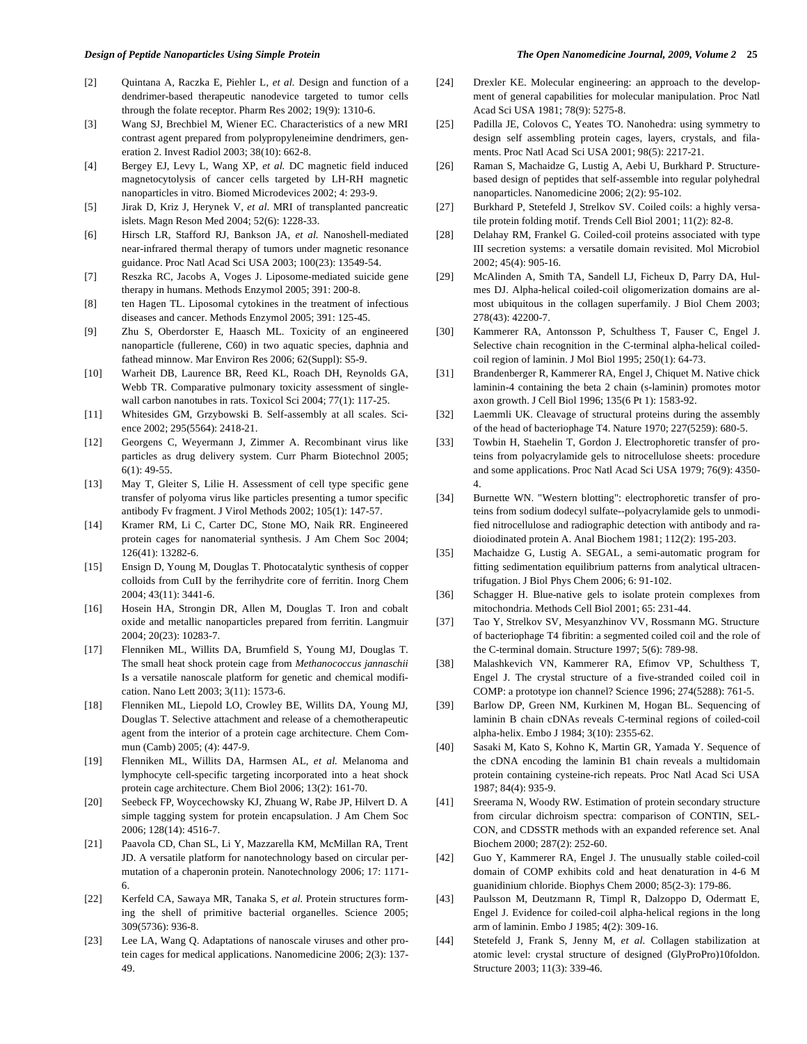- [2] Quintana A, Raczka E, Piehler L, *et al.* Design and function of a dendrimer-based therapeutic nanodevice targeted to tumor cells through the folate receptor. Pharm Res 2002; 19(9): 1310-6.
- [3] Wang SJ, Brechbiel M, Wiener EC. Characteristics of a new MRI contrast agent prepared from polypropyleneimine dendrimers, generation 2. Invest Radiol 2003; 38(10): 662-8.
- [4] Bergey EJ, Levy L, Wang XP, *et al.* DC magnetic field induced magnetocytolysis of cancer cells targeted by LH-RH magnetic nanoparticles in vitro. Biomed Microdevices 2002; 4: 293-9.
- [5] Jirak D, Kriz J, Herynek V, *et al*. MRI of transplanted pancreatic islets. Magn Reson Med 2004; 52(6): 1228-33.
- [6] Hirsch LR, Stafford RJ, Bankson JA, *et al.* Nanoshell-mediated near-infrared thermal therapy of tumors under magnetic resonance guidance. Proc Natl Acad Sci USA 2003; 100(23): 13549-54.
- [7] Reszka RC, Jacobs A, Voges J. Liposome-mediated suicide gene therapy in humans. Methods Enzymol 2005; 391: 200-8.
- [8] ten Hagen TL. Liposomal cytokines in the treatment of infectious diseases and cancer. Methods Enzymol 2005; 391: 125-45.
- [9] Zhu S, Oberdorster E, Haasch ML. Toxicity of an engineered nanoparticle (fullerene, C60) in two aquatic species, daphnia and fathead minnow. Mar Environ Res 2006; 62(Suppl): S5-9.
- [10] Warheit DB, Laurence BR, Reed KL, Roach DH, Reynolds GA, Webb TR. Comparative pulmonary toxicity assessment of singlewall carbon nanotubes in rats. Toxicol Sci 2004; 77(1): 117-25.
- [11] Whitesides GM, Grzybowski B. Self-assembly at all scales. Science 2002; 295(5564): 2418-21.
- [12] Georgens C, Weyermann J, Zimmer A. Recombinant virus like particles as drug delivery system. Curr Pharm Biotechnol 2005; 6(1): 49-55.
- [13] May T, Gleiter S, Lilie H. Assessment of cell type specific gene transfer of polyoma virus like particles presenting a tumor specific antibody Fv fragment. J Virol Methods 2002; 105(1): 147-57.
- [14] Kramer RM, Li C, Carter DC, Stone MO, Naik RR. Engineered protein cages for nanomaterial synthesis. J Am Chem Soc 2004; 126(41): 13282-6.
- [15] Ensign D, Young M, Douglas T. Photocatalytic synthesis of copper colloids from CuII by the ferrihydrite core of ferritin. Inorg Chem 2004; 43(11): 3441-6.
- [16] Hosein HA, Strongin DR, Allen M, Douglas T. Iron and cobalt oxide and metallic nanoparticles prepared from ferritin. Langmuir 2004; 20(23): 10283-7.
- [17] Flenniken ML, Willits DA, Brumfield S, Young MJ, Douglas T. The small heat shock protein cage from *Methanococcus jannaschii* Is a versatile nanoscale platform for genetic and chemical modification. Nano Lett 2003; 3(11): 1573-6.
- [18] Flenniken ML, Liepold LO, Crowley BE, Willits DA, Young MJ, Douglas T. Selective attachment and release of a chemotherapeutic agent from the interior of a protein cage architecture. Chem Commun (Camb) 2005; (4): 447-9.
- [19] Flenniken ML, Willits DA, Harmsen AL, *et al.* Melanoma and lymphocyte cell-specific targeting incorporated into a heat shock protein cage architecture. Chem Biol 2006; 13(2): 161-70.
- [20] Seebeck FP, Woycechowsky KJ, Zhuang W, Rabe JP, Hilvert D. A simple tagging system for protein encapsulation. J Am Chem Soc 2006; 128(14): 4516-7.
- [21] Paavola CD, Chan SL, Li Y, Mazzarella KM, McMillan RA, Trent JD. A versatile platform for nanotechnology based on circular permutation of a chaperonin protein. Nanotechnology 2006; 17: 1171- 6.
- [22] Kerfeld CA, Sawaya MR, Tanaka S, *et al.* Protein structures forming the shell of primitive bacterial organelles. Science 2005; 309(5736): 936-8.
- [23] Lee LA, Wang Q. Adaptations of nanoscale viruses and other protein cages for medical applications. Nanomedicine 2006; 2(3): 137- 49.
- [24] Drexler KE. Molecular engineering: an approach to the development of general capabilities for molecular manipulation. Proc Natl Acad Sci USA 1981; 78(9): 5275-8.
- [25] Padilla JE, Colovos C, Yeates TO. Nanohedra: using symmetry to design self assembling protein cages, layers, crystals, and filaments. Proc Natl Acad Sci USA 2001; 98(5): 2217-21.
- [26] Raman S, Machaidze G, Lustig A, Aebi U, Burkhard P. Structurebased design of peptides that self-assemble into regular polyhedral nanoparticles. Nanomedicine 2006; 2(2): 95-102.
- [27] Burkhard P, Stetefeld J, Strelkov SV. Coiled coils: a highly versatile protein folding motif. Trends Cell Biol 2001; 11(2): 82-8.
- [28] Delahay RM, Frankel G. Coiled-coil proteins associated with type III secretion systems: a versatile domain revisited. Mol Microbiol 2002; 45(4): 905-16.
- [29] McAlinden A, Smith TA, Sandell LJ, Ficheux D, Parry DA, Hulmes DJ. Alpha-helical coiled-coil oligomerization domains are almost ubiquitous in the collagen superfamily. J Biol Chem 2003; 278(43): 42200-7.
- [30] Kammerer RA, Antonsson P, Schulthess T, Fauser C, Engel J. Selective chain recognition in the C-terminal alpha-helical coiledcoil region of laminin. J Mol Biol 1995; 250(1): 64-73.
- [31] Brandenberger R, Kammerer RA, Engel J, Chiquet M. Native chick laminin-4 containing the beta 2 chain (s-laminin) promotes motor axon growth. J Cell Biol 1996; 135(6 Pt 1): 1583-92.
- [32] Laemmli UK. Cleavage of structural proteins during the assembly of the head of bacteriophage T4. Nature 1970; 227(5259): 680-5.
- [33] Towbin H, Staehelin T, Gordon J. Electrophoretic transfer of proteins from polyacrylamide gels to nitrocellulose sheets: procedure and some applications. Proc Natl Acad Sci USA 1979; 76(9): 4350- 4.
- [34] Burnette WN. "Western blotting": electrophoretic transfer of proteins from sodium dodecyl sulfate--polyacrylamide gels to unmodified nitrocellulose and radiographic detection with antibody and radioiodinated protein A. Anal Biochem 1981; 112(2): 195-203.
- [35] Machaidze G, Lustig A. SEGAL, a semi-automatic program for fitting sedimentation equilibrium patterns from analytical ultracentrifugation. J Biol Phys Chem 2006; 6: 91-102.
- [36] Schagger H. Blue-native gels to isolate protein complexes from mitochondria. Methods Cell Biol 2001; 65: 231-44.
- [37] Tao Y, Strelkov SV, Mesyanzhinov VV, Rossmann MG. Structure of bacteriophage T4 fibritin: a segmented coiled coil and the role of the C-terminal domain. Structure 1997; 5(6): 789-98.
- [38] Malashkevich VN, Kammerer RA, Efimov VP, Schulthess T, Engel J. The crystal structure of a five-stranded coiled coil in COMP: a prototype ion channel? Science 1996; 274(5288): 761-5.
- [39] Barlow DP, Green NM, Kurkinen M, Hogan BL. Sequencing of laminin B chain cDNAs reveals C-terminal regions of coiled-coil alpha-helix. Embo J 1984; 3(10): 2355-62.
- [40] Sasaki M, Kato S, Kohno K, Martin GR, Yamada Y. Sequence of the cDNA encoding the laminin B1 chain reveals a multidomain protein containing cysteine-rich repeats. Proc Natl Acad Sci USA 1987; 84(4): 935-9.
- [41] Sreerama N, Woody RW. Estimation of protein secondary structure from circular dichroism spectra: comparison of CONTIN, SEL-CON, and CDSSTR methods with an expanded reference set. Anal Biochem 2000; 287(2): 252-60.
- [42] Guo Y, Kammerer RA, Engel J. The unusually stable coiled-coil domain of COMP exhibits cold and heat denaturation in 4-6 M guanidinium chloride. Biophys Chem 2000; 85(2-3): 179-86.
- [43] Paulsson M, Deutzmann R, Timpl R, Dalzoppo D, Odermatt E, Engel J. Evidence for coiled-coil alpha-helical regions in the long arm of laminin. Embo J 1985; 4(2): 309-16.
- [44] Stetefeld J, Frank S, Jenny M, *et al*. Collagen stabilization at atomic level: crystal structure of designed (GlyProPro)10foldon. Structure 2003; 11(3): 339-46.